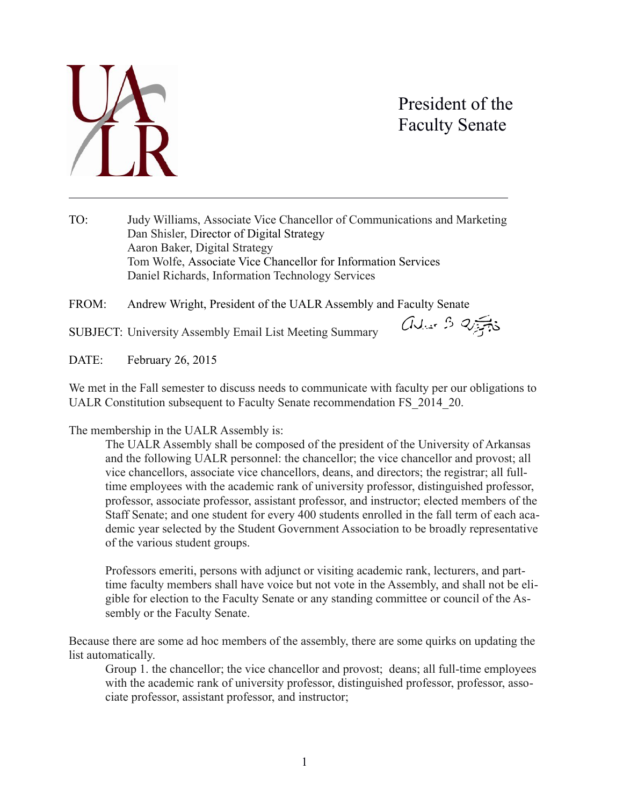

l

## President of the Faculty Senate

TO: Judy Williams, Associate Vice Chancellor of Communications and Marketing Dan Shisler, Director of Digital Strategy Aaron Baker, Digital Strategy Tom Wolfe, Associate Vice Chancellor for Information Services Daniel Richards, Information Technology Services

FROM: Andrew Wright, President of the UALR Assembly and Faculty Senate

SUBJECT: University Assembly Email List Meeting Summary

aver 3 25 to

DATE: February 26, 2015

We met in the Fall semester to discuss needs to communicate with faculty per our obligations to UALR Constitution subsequent to Faculty Senate recommendation FS\_2014\_20.

The membership in the UALR Assembly is:

The UALR Assembly shall be composed of the president of the University of Arkansas and the following UALR personnel: the chancellor; the vice chancellor and provost; all vice chancellors, associate vice chancellors, deans, and directors; the registrar; all fulltime employees with the academic rank of university professor, distinguished professor, professor, associate professor, assistant professor, and instructor; elected members of the Staff Senate; and one student for every 400 students enrolled in the fall term of each academic year selected by the Student Government Association to be broadly representative of the various student groups.

Professors emeriti, persons with adjunct or visiting academic rank, lecturers, and parttime faculty members shall have voice but not vote in the Assembly, and shall not be eligible for election to the Faculty Senate or any standing committee or council of the Assembly or the Faculty Senate.

Because there are some ad hoc members of the assembly, there are some quirks on updating the list automatically.

Group 1. the chancellor; the vice chancellor and provost; deans; all full-time employees with the academic rank of university professor, distinguished professor, professor, associate professor, assistant professor, and instructor;